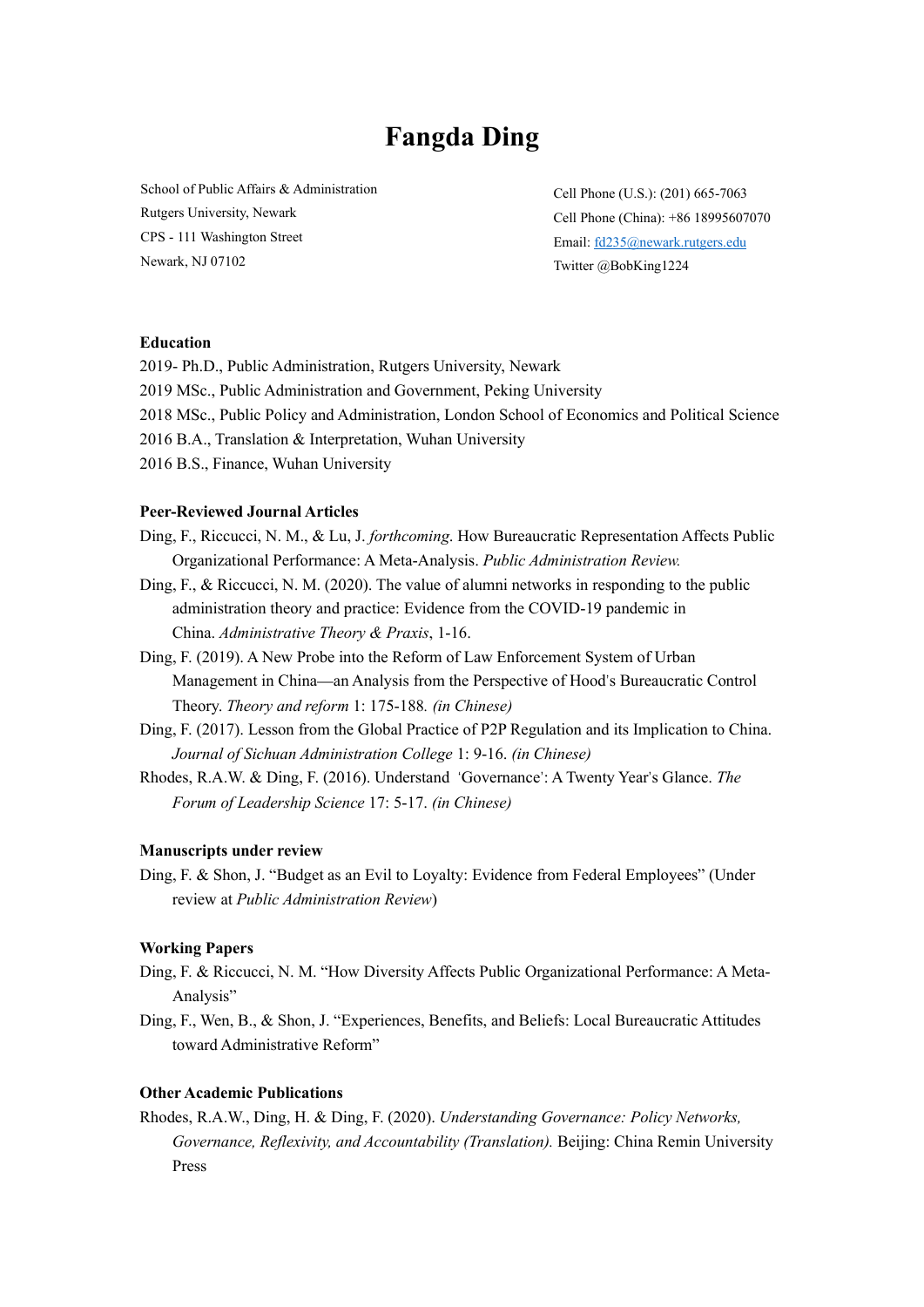# **Fangda Ding**

School of Public Affairs & Administration Rutgers University, Newark CPS - 111 Washington Street Newark, NJ 07102

Cell Phone (U.S.): (201) 665-7063 Cell Phone (China): +86 18995607070 Email: [fd235@newark.rutgers.edu](mailto:fd235@newark.rutgers.edu) Twitter @BobKing1224

#### **Education**

- 2019- Ph.D., Public Administration, Rutgers University, Newark
- 2019 MSc., Public Administration and Government, Peking University
- 2018 MSc., Public Policy and Administration, London School of Economics and Political Science
- 2016 B.A., Translation & Interpretation, Wuhan University
- 2016 B.S., Finance, Wuhan University

### **Peer-Reviewed Journal Articles**

- Ding, F., Riccucci, N. M., & Lu, J. *forthcoming*. How Bureaucratic Representation Affects Public Organizational Performance: A Meta-Analysis. *Public Administration Review.*
- Ding, F., & Riccucci, N. M. (2020). The value of alumni networks in responding to the public administration theory and practice: Evidence from the COVID-19 pandemic in China. *Administrative Theory & Praxis*, 1-16.
- Ding, F. (2019). A New Probe into the Reform of Law Enforcement System of Urban Management in China—an Analysis from the Perspective of Hood's Bureaucratic Control Theory. *Theory and reform* 1: 175-188*. (in Chinese)*
- Ding, F. (2017). Lesson from the Global Practice of P2P Regulation and its Implication to China. *Journal of Sichuan Administration College* 1: 9-16. *(in Chinese)*
- Rhodes, R.A.W. & Ding, F. (2016). Understand 'Governance': A Twenty Year's Glance. *The Forum of Leadership Science* 17: 5-17. *(in Chinese)*

#### **Manuscripts under review**

Ding, F. & Shon, J. "Budget as an Evil to Loyalty: Evidence from Federal Employees" (Under review at *Public Administration Review*)

#### **Working Papers**

- Ding, F. & Riccucci, N. M. "How Diversity Affects Public Organizational Performance: A Meta-Analysis"
- Ding, F., Wen, B., & Shon, J. "Experiences, Benefits, and Beliefs: Local Bureaucratic Attitudes toward Administrative Reform"

## **Other Academic Publications**

Rhodes, R.A.W., Ding, H. & Ding, F. (2020). *Understanding Governance: Policy Networks, Governance, Reflexivity, and Accountability (Translation).* Beijing: China Remin University Press